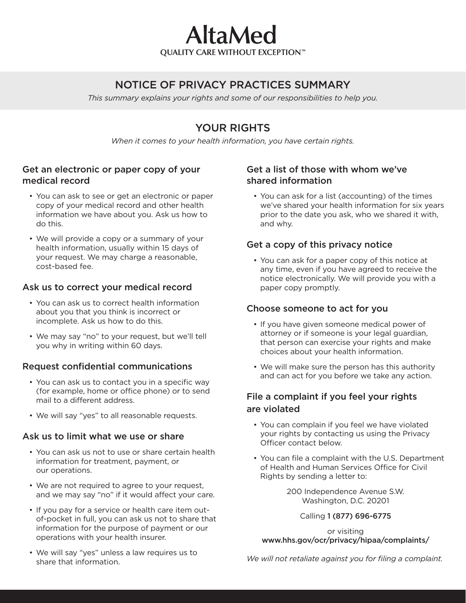**AltaMed OUALITY CARE WITHOUT EXCEPTION™** 

# NOTICE OF PRIVACY PRACTICES SUMMARY

*This summary explains your rights and some of our responsibilities to help you.*

# YOUR RIGHTS

*When it comes to your health information, you have certain rights.*

# Get an electronic or paper copy of your medical record

- You can ask to see or get an electronic or paper copy of your medical record and other health information we have about you. Ask us how to do this.
- We will provide a copy or a summary of your health information, usually within 15 days of your request. We may charge a reasonable, cost-based fee.

## Ask us to correct your medical record

- You can ask us to correct health information about you that you think is incorrect or incomplete. Ask us how to do this.
- We may say "no" to your request, but we'll tell you why in writing within 60 days.

# Request confidential communications

- You can ask us to contact you in a specific way (for example, home or office phone) or to send mail to a different address.
- We will say "yes" to all reasonable requests.

## Ask us to limit what we use or share

- You can ask us not to use or share certain health information for treatment, payment, or our operations.
- We are not required to agree to your request, and we may say "no" if it would affect your care.
- If you pay for a service or health care item outof-pocket in full, you can ask us not to share that information for the purpose of payment or our operations with your health insurer.
- We will say "yes" unless a law requires us to share that information.

## Get a list of those with whom we've shared information

• You can ask for a list (accounting) of the times we've shared your health information for six years prior to the date you ask, who we shared it with, and why.

## Get a copy of this privacy notice

• You can ask for a paper copy of this notice at any time, even if you have agreed to receive the notice electronically. We will provide you with a paper copy promptly.

## Choose someone to act for you

- If you have given someone medical power of attorney or if someone is your legal guardian, that person can exercise your rights and make choices about your health information.
- We will make sure the person has this authority and can act for you before we take any action.

# File a complaint if you feel your rights are violated

- You can complain if you feel we have violated your rights by contacting us using the Privacy Officer contact below.
- You can file a complaint with the U.S. Department of Health and Human Services Office for Civil Rights by sending a letter to:

200 Independence Avenue S.W. Washington, D.C. 20201

Calling 1 (877) 696-6775

or visiting www.hhs.gov/ocr/privacy/hipaa/complaints/

*We will not retaliate against you for filing a complaint.*